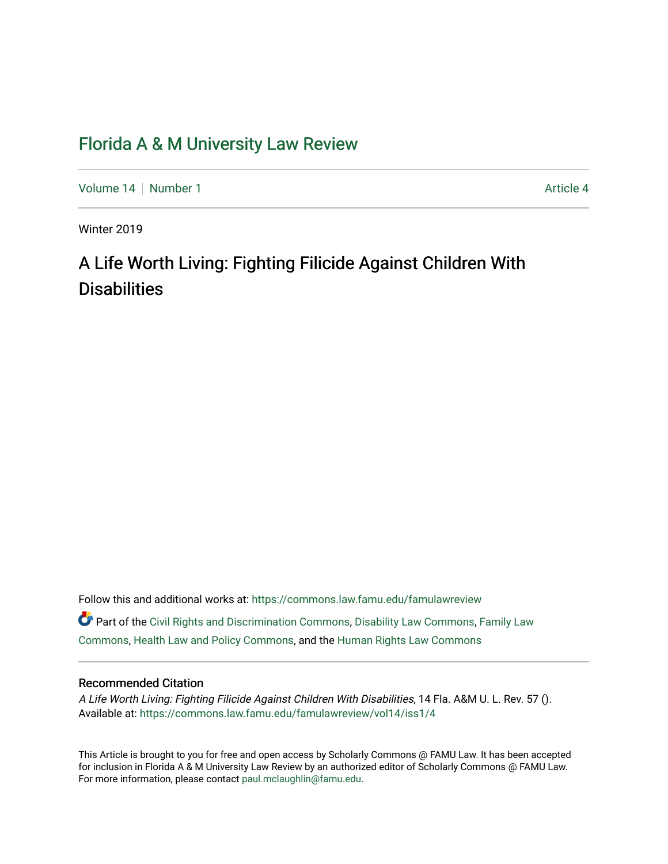# [Florida A & M University Law Review](https://commons.law.famu.edu/famulawreview)

[Volume 14](https://commons.law.famu.edu/famulawreview/vol14) [Number 1](https://commons.law.famu.edu/famulawreview/vol14/iss1) Article 4

Winter 2019

# A Life Worth Living: Fighting Filicide Against Children With **Disabilities**

Follow this and additional works at: [https://commons.law.famu.edu/famulawreview](https://commons.law.famu.edu/famulawreview?utm_source=commons.law.famu.edu%2Ffamulawreview%2Fvol14%2Fiss1%2F4&utm_medium=PDF&utm_campaign=PDFCoverPages) 

Part of the [Civil Rights and Discrimination Commons,](http://network.bepress.com/hgg/discipline/585?utm_source=commons.law.famu.edu%2Ffamulawreview%2Fvol14%2Fiss1%2F4&utm_medium=PDF&utm_campaign=PDFCoverPages) [Disability Law Commons](http://network.bepress.com/hgg/discipline/1074?utm_source=commons.law.famu.edu%2Ffamulawreview%2Fvol14%2Fiss1%2F4&utm_medium=PDF&utm_campaign=PDFCoverPages), [Family Law](http://network.bepress.com/hgg/discipline/602?utm_source=commons.law.famu.edu%2Ffamulawreview%2Fvol14%2Fiss1%2F4&utm_medium=PDF&utm_campaign=PDFCoverPages)  [Commons](http://network.bepress.com/hgg/discipline/602?utm_source=commons.law.famu.edu%2Ffamulawreview%2Fvol14%2Fiss1%2F4&utm_medium=PDF&utm_campaign=PDFCoverPages), [Health Law and Policy Commons](http://network.bepress.com/hgg/discipline/901?utm_source=commons.law.famu.edu%2Ffamulawreview%2Fvol14%2Fiss1%2F4&utm_medium=PDF&utm_campaign=PDFCoverPages), and the [Human Rights Law Commons](http://network.bepress.com/hgg/discipline/847?utm_source=commons.law.famu.edu%2Ffamulawreview%2Fvol14%2Fiss1%2F4&utm_medium=PDF&utm_campaign=PDFCoverPages) 

# Recommended Citation

A Life Worth Living: Fighting Filicide Against Children With Disabilities, 14 Fla. A&M U. L. Rev. 57 (). Available at: [https://commons.law.famu.edu/famulawreview/vol14/iss1/4](https://commons.law.famu.edu/famulawreview/vol14/iss1/4?utm_source=commons.law.famu.edu%2Ffamulawreview%2Fvol14%2Fiss1%2F4&utm_medium=PDF&utm_campaign=PDFCoverPages)

This Article is brought to you for free and open access by Scholarly Commons @ FAMU Law. It has been accepted for inclusion in Florida A & M University Law Review by an authorized editor of Scholarly Commons @ FAMU Law. For more information, please contact [paul.mclaughlin@famu.edu](mailto:paul.mclaughlin@famu.edu).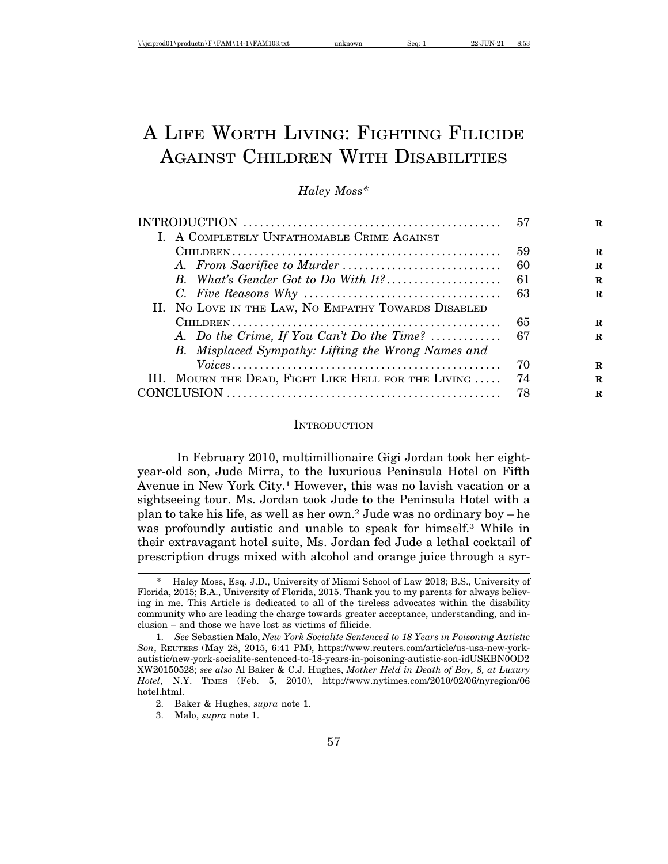# A LIFE WORTH LIVING: FIGHTING FILICIDE AGAINST CHILDREN WITH DISABILITIES

# *Haley Moss\**

|                                                     | .57 |             |
|-----------------------------------------------------|-----|-------------|
| I. A COMPLETELY UNFATHOMABLE CRIME AGAINST          |     |             |
|                                                     | 59  | $\mathbf R$ |
|                                                     | -60 | $\mathbf R$ |
| B. What's Gender Got to Do With It?                 | -61 | $\mathbf R$ |
|                                                     | 63  | R           |
| II. NO LOVE IN THE LAW, NO EMPATHY TOWARDS DISABLED |     |             |
|                                                     | 65  | R           |
| A. Do the Crime, If You Can't Do the Time?          | -67 | R           |
| B. Misplaced Sympathy: Lifting the Wrong Names and  |     |             |
|                                                     | 70  | R           |
| III. MOURN THE DEAD, FIGHT LIKE HELL FOR THE LIVING | 74  | R           |
|                                                     | 78  | R           |
|                                                     |     |             |

#### **INTRODUCTION**

In February 2010, multimillionaire Gigi Jordan took her eightyear-old son, Jude Mirra, to the luxurious Peninsula Hotel on Fifth Avenue in New York City.1 However, this was no lavish vacation or a sightseeing tour. Ms. Jordan took Jude to the Peninsula Hotel with a plan to take his life, as well as her own.2 Jude was no ordinary boy – he was profoundly autistic and unable to speak for himself.3 While in their extravagant hotel suite, Ms. Jordan fed Jude a lethal cocktail of prescription drugs mixed with alcohol and orange juice through a syr-

<sup>\*</sup> Haley Moss, Esq. J.D., University of Miami School of Law 2018; B.S., University of Florida, 2015; B.A., University of Florida, 2015. Thank you to my parents for always believing in me. This Article is dedicated to all of the tireless advocates within the disability community who are leading the charge towards greater acceptance, understanding, and inclusion – and those we have lost as victims of filicide.

<sup>1.</sup> *See* Sebastien Malo, *New York Socialite Sentenced to 18 Years in Poisoning Autistic Son*, REUTERS (May 28, 2015, 6:41 PM), https://www.reuters.com/article/us-usa-new-yorkautistic/new-york-socialite-sentenced-to-18-years-in-poisoning-autistic-son-idUSKBN0OD2 XW20150528; *see also* Al Baker & C.J. Hughes, *Mother Held in Death of Boy, 8, at Luxury Hotel*, N.Y. TIMES (Feb. 5, 2010), http://www.nytimes.com/2010/02/06/nyregion/06 hotel.html.

<sup>2.</sup> Baker & Hughes, *supra* note 1.

<sup>3.</sup> Malo, *supra* note 1.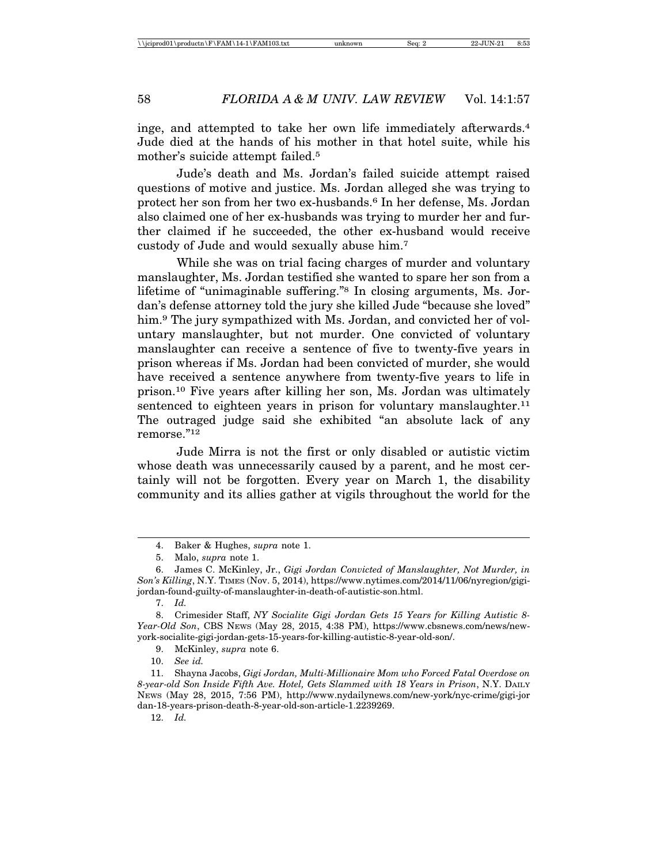inge, and attempted to take her own life immediately afterwards.4 Jude died at the hands of his mother in that hotel suite, while his mother's suicide attempt failed.5

Jude's death and Ms. Jordan's failed suicide attempt raised questions of motive and justice. Ms. Jordan alleged she was trying to protect her son from her two ex-husbands.6 In her defense, Ms. Jordan also claimed one of her ex-husbands was trying to murder her and further claimed if he succeeded, the other ex-husband would receive custody of Jude and would sexually abuse him.7

While she was on trial facing charges of murder and voluntary manslaughter, Ms. Jordan testified she wanted to spare her son from a lifetime of "unimaginable suffering."8 In closing arguments, Ms. Jordan's defense attorney told the jury she killed Jude "because she loved" him.<sup>9</sup> The jury sympathized with Ms. Jordan, and convicted her of voluntary manslaughter, but not murder. One convicted of voluntary manslaughter can receive a sentence of five to twenty-five years in prison whereas if Ms. Jordan had been convicted of murder, she would have received a sentence anywhere from twenty-five years to life in prison.10 Five years after killing her son, Ms. Jordan was ultimately sentenced to eighteen years in prison for voluntary manslaughter.11 The outraged judge said she exhibited "an absolute lack of any remorse."12

Jude Mirra is not the first or only disabled or autistic victim whose death was unnecessarily caused by a parent, and he most certainly will not be forgotten. Every year on March 1, the disability community and its allies gather at vigils throughout the world for the

12. *Id.*

<sup>4.</sup> Baker & Hughes, *supra* note 1.

<sup>5.</sup> Malo, *supra* note 1.

<sup>6.</sup> James C. McKinley, Jr., *Gigi Jordan Convicted of Manslaughter, Not Murder, in Son's Killing*, N.Y. TIMES (Nov. 5, 2014), https://www.nytimes.com/2014/11/06/nyregion/gigijordan-found-guilty-of-manslaughter-in-death-of-autistic-son.html.

<sup>7.</sup> *Id.*

<sup>8.</sup> Crimesider Staff, *NY Socialite Gigi Jordan Gets 15 Years for Killing Autistic 8- Year-Old Son*, CBS NEWS (May 28, 2015, 4:38 PM), https://www.cbsnews.com/news/newyork-socialite-gigi-jordan-gets-15-years-for-killing-autistic-8-year-old-son/.

<sup>9.</sup> McKinley, *supra* note 6.

<sup>10.</sup> *See id.*

<sup>11.</sup> Shayna Jacobs, *Gigi Jordan, Multi-Millionaire Mom who Forced Fatal Overdose on 8-year-old Son Inside Fifth Ave. Hotel, Gets Slammed with 18 Years in Prison*, N.Y. DAILY NEWS (May 28, 2015, 7:56 PM), http://www.nydailynews.com/new-york/nyc-crime/gigi-jor dan-18-years-prison-death-8-year-old-son-article-1.2239269.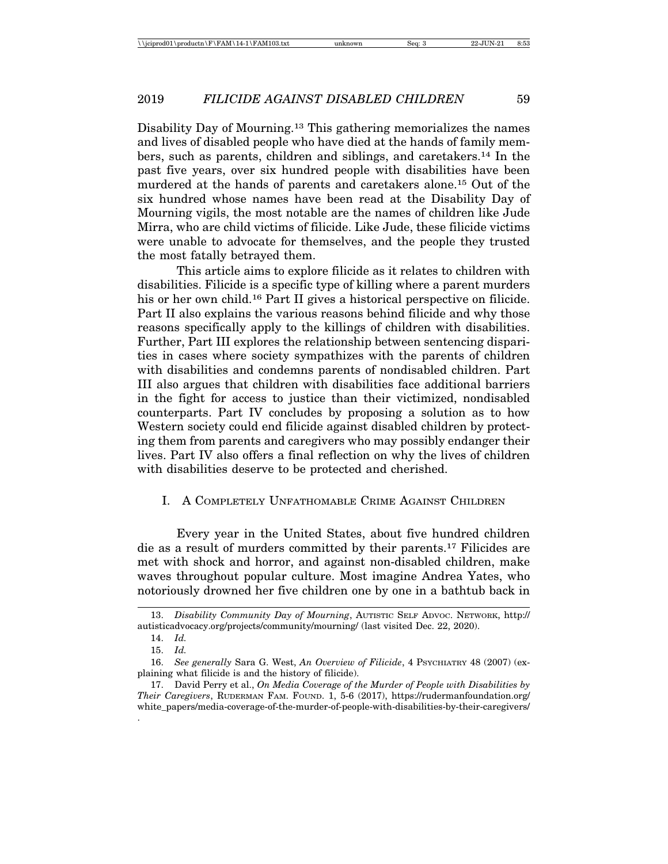Disability Day of Mourning.13 This gathering memorializes the names and lives of disabled people who have died at the hands of family members, such as parents, children and siblings, and caretakers.14 In the past five years, over six hundred people with disabilities have been murdered at the hands of parents and caretakers alone.15 Out of the six hundred whose names have been read at the Disability Day of Mourning vigils, the most notable are the names of children like Jude Mirra, who are child victims of filicide. Like Jude, these filicide victims were unable to advocate for themselves, and the people they trusted the most fatally betrayed them.

This article aims to explore filicide as it relates to children with disabilities. Filicide is a specific type of killing where a parent murders his or her own child.<sup>16</sup> Part II gives a historical perspective on filicide. Part II also explains the various reasons behind filicide and why those reasons specifically apply to the killings of children with disabilities. Further, Part III explores the relationship between sentencing disparities in cases where society sympathizes with the parents of children with disabilities and condemns parents of nondisabled children. Part III also argues that children with disabilities face additional barriers in the fight for access to justice than their victimized, nondisabled counterparts. Part IV concludes by proposing a solution as to how Western society could end filicide against disabled children by protecting them from parents and caregivers who may possibly endanger their lives. Part IV also offers a final reflection on why the lives of children with disabilities deserve to be protected and cherished.

# I. A COMPLETELY UNFATHOMABLE CRIME AGAINST CHILDREN

Every year in the United States, about five hundred children die as a result of murders committed by their parents.17 Filicides are met with shock and horror, and against non-disabled children, make waves throughout popular culture. Most imagine Andrea Yates, who notoriously drowned her five children one by one in a bathtub back in

.

<sup>13.</sup> *Disability Community Day of Mourning*, AUTISTIC SELF ADVOC. NETWORK, http:// autisticadvocacy.org/projects/community/mourning/ (last visited Dec. 22, 2020).

<sup>14.</sup> *Id.*

<sup>15.</sup> *Id.*

<sup>16.</sup> *See generally* Sara G. West, *An Overview of Filicide*, 4 PSYCHIATRY 48 (2007) (explaining what filicide is and the history of filicide).

<sup>17.</sup> David Perry et al., *On Media Coverage of the Murder of People with Disabilities by Their Caregivers*, RUDERMAN FAM. FOUND. 1, 5-6 (2017), https://rudermanfoundation.org/ white\_papers/media-coverage-of-the-murder-of-people-with-disabilities-by-their-caregivers/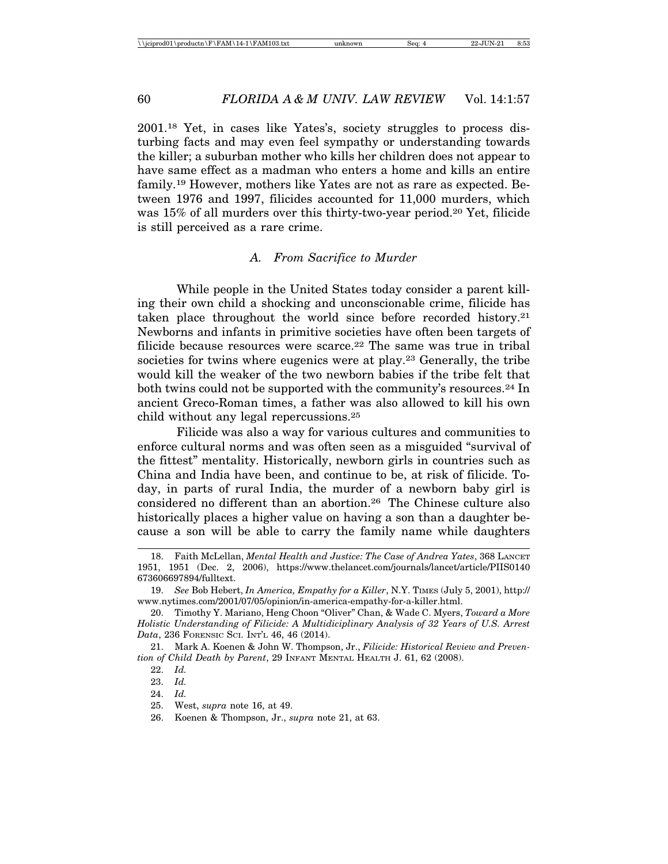2001.18 Yet, in cases like Yates's, society struggles to process disturbing facts and may even feel sympathy or understanding towards the killer; a suburban mother who kills her children does not appear to have same effect as a madman who enters a home and kills an entire family.19 However, mothers like Yates are not as rare as expected. Between 1976 and 1997, filicides accounted for 11,000 murders, which was 15% of all murders over this thirty-two-year period.20 Yet, filicide is still perceived as a rare crime.

# *A. From Sacrifice to Murder*

While people in the United States today consider a parent killing their own child a shocking and unconscionable crime, filicide has taken place throughout the world since before recorded history.21 Newborns and infants in primitive societies have often been targets of filicide because resources were scarce.<sup>22</sup> The same was true in tribal societies for twins where eugenics were at play.23 Generally, the tribe would kill the weaker of the two newborn babies if the tribe felt that both twins could not be supported with the community's resources.24 In ancient Greco-Roman times, a father was also allowed to kill his own child without any legal repercussions.25

Filicide was also a way for various cultures and communities to enforce cultural norms and was often seen as a misguided "survival of the fittest" mentality. Historically, newborn girls in countries such as China and India have been, and continue to be, at risk of filicide. Today, in parts of rural India, the murder of a newborn baby girl is considered no different than an abortion.26 The Chinese culture also historically places a higher value on having a son than a daughter because a son will be able to carry the family name while daughters

<sup>18.</sup> Faith McLellan, *Mental Health and Justice: The Case of Andrea Yates*, 368 LANCET 1951, 1951 (Dec. 2, 2006), https://www.thelancet.com/journals/lancet/article/PIIS0140 673606697894/fulltext.

<sup>19.</sup> *See* Bob Hebert, *In America, Empathy for a Killer*, N.Y. TIMES (July 5, 2001), http:// www.nytimes.com/2001/07/05/opinion/in-america-empathy-for-a-killer.html.

<sup>20.</sup> Timothy Y. Mariano, Heng Choon "Oliver" Chan, & Wade C. Myers, *Toward a More Holistic Understanding of Filicide: A Multidiciplinary Analysis of 32 Years of U.S. Arrest Data*, 236 FORENSIC SCI. INT'L 46, 46 (2014).

<sup>21.</sup> Mark A. Koenen & John W. Thompson, Jr., *Filicide: Historical Review and Prevention of Child Death by Parent*, 29 INFANT MENTAL HEALTH J. 61, 62 (2008).

<sup>22.</sup> *Id.*

<sup>23.</sup> *Id.*

<sup>24.</sup> *Id.*

<sup>25.</sup> West, *supra* note 16, at 49.

<sup>26.</sup> Koenen & Thompson, Jr., *supra* note 21, at 63.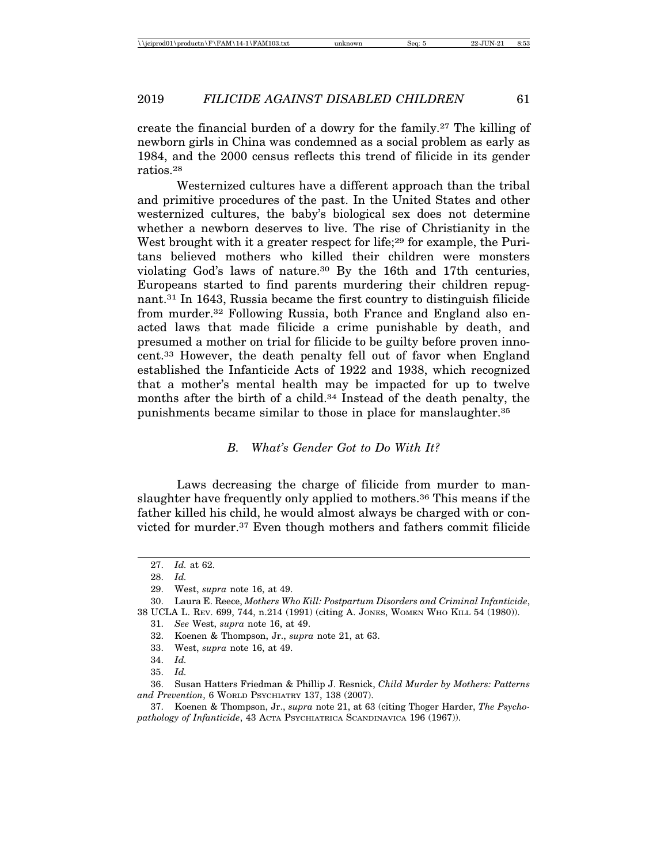create the financial burden of a dowry for the family.27 The killing of newborn girls in China was condemned as a social problem as early as 1984, and the 2000 census reflects this trend of filicide in its gender ratios.28

Westernized cultures have a different approach than the tribal and primitive procedures of the past. In the United States and other westernized cultures, the baby's biological sex does not determine whether a newborn deserves to live. The rise of Christianity in the West brought with it a greater respect for life;<sup>29</sup> for example, the Puritans believed mothers who killed their children were monsters violating God's laws of nature.30 By the 16th and 17th centuries, Europeans started to find parents murdering their children repugnant.31 In 1643, Russia became the first country to distinguish filicide from murder.32 Following Russia, both France and England also enacted laws that made filicide a crime punishable by death, and presumed a mother on trial for filicide to be guilty before proven innocent.33 However, the death penalty fell out of favor when England established the Infanticide Acts of 1922 and 1938, which recognized that a mother's mental health may be impacted for up to twelve months after the birth of a child.34 Instead of the death penalty, the punishments became similar to those in place for manslaughter.35

#### *B. What's Gender Got to Do With It?*

Laws decreasing the charge of filicide from murder to manslaughter have frequently only applied to mothers.36 This means if the father killed his child, he would almost always be charged with or convicted for murder.37 Even though mothers and fathers commit filicide

30. Laura E. Reece, *Mothers Who Kill: Postpartum Disorders and Criminal Infanticide*, 38 UCLA L. REV. 699, 744, n.214 (1991) (citing A. JONES, WOMEN WHO KILL 54 (1980)).

33. West, *supra* note 16, at 49.

<sup>27.</sup> *Id.* at 62.

<sup>28.</sup> *Id.*

<sup>29.</sup> West, *supra* note 16, at 49.

<sup>31.</sup> *See* West, *supra* note 16, at 49.

<sup>32.</sup> Koenen & Thompson, Jr., *supra* note 21, at 63.

<sup>34.</sup> *Id.*

<sup>35.</sup> *Id.*

<sup>36.</sup> Susan Hatters Friedman & Phillip J. Resnick, *Child Murder by Mothers: Patterns and Prevention*, 6 WORLD PSYCHIATRY 137, 138 (2007).

<sup>37.</sup> Koenen & Thompson, Jr., *supra* note 21, at 63 (citing Thoger Harder, *The Psychopathology of Infanticide*, 43 ACTA PSYCHIATRICA SCANDINAVICA 196 (1967)).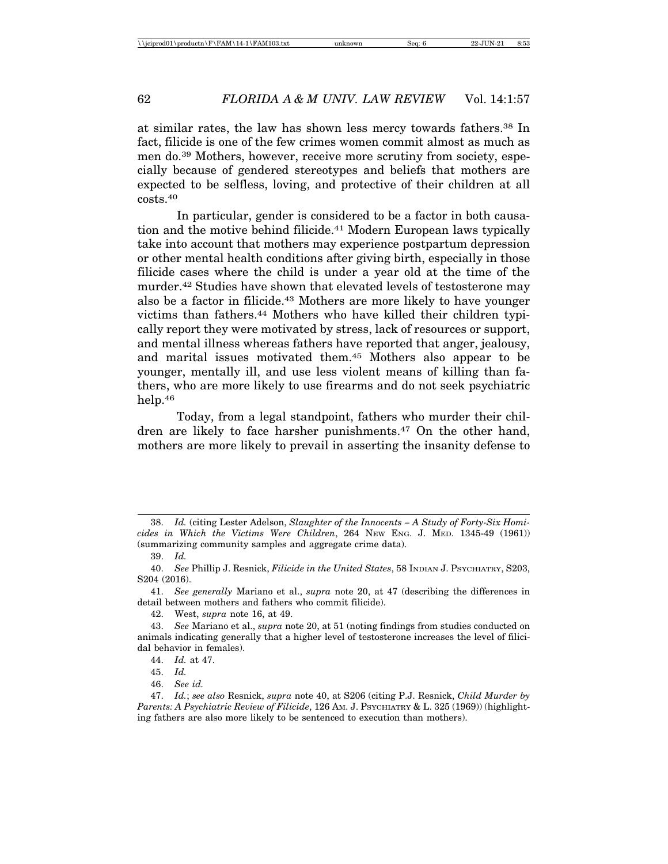at similar rates, the law has shown less mercy towards fathers.38 In fact, filicide is one of the few crimes women commit almost as much as men do.39 Mothers, however, receive more scrutiny from society, especially because of gendered stereotypes and beliefs that mothers are expected to be selfless, loving, and protective of their children at all costs.40

In particular, gender is considered to be a factor in both causation and the motive behind filicide.<sup>41</sup> Modern European laws typically take into account that mothers may experience postpartum depression or other mental health conditions after giving birth, especially in those filicide cases where the child is under a year old at the time of the murder.42 Studies have shown that elevated levels of testosterone may also be a factor in filicide.43 Mothers are more likely to have younger victims than fathers.44 Mothers who have killed their children typically report they were motivated by stress, lack of resources or support, and mental illness whereas fathers have reported that anger, jealousy, and marital issues motivated them.45 Mothers also appear to be younger, mentally ill, and use less violent means of killing than fathers, who are more likely to use firearms and do not seek psychiatric help.46

Today, from a legal standpoint, fathers who murder their children are likely to face harsher punishments.<sup>47</sup> On the other hand, mothers are more likely to prevail in asserting the insanity defense to

<sup>38.</sup> *Id.* (citing Lester Adelson, *Slaughter of the Innocents – A Study of Forty-Six Homicides in Which the Victims Were Children*, 264 NEW ENG. J. MED. 1345-49 (1961)) (summarizing community samples and aggregate crime data).

<sup>39.</sup> *Id.*

<sup>40.</sup> *See* Phillip J. Resnick, *Filicide in the United States*, 58 INDIAN J. PSYCHIATRY, S203, S204 (2016).

<sup>41.</sup> *See generally* Mariano et al., *supra* note 20, at 47 (describing the differences in detail between mothers and fathers who commit filicide).

<sup>42.</sup> West, *supra* note 16, at 49.

<sup>43.</sup> *See* Mariano et al., *supra* note 20, at 51 (noting findings from studies conducted on animals indicating generally that a higher level of testosterone increases the level of filicidal behavior in females).

<sup>44.</sup> *Id.* at 47.

<sup>45.</sup> *Id.*

<sup>46.</sup> *See id.*

<sup>47.</sup> *Id.*; *see also* Resnick, *supra* note 40, at S206 (citing P.J. Resnick, *Child Murder by Parents: A Psychiatric Review of Filicide*, 126 AM. J. PSYCHIATRY & L. 325 (1969)) (highlighting fathers are also more likely to be sentenced to execution than mothers).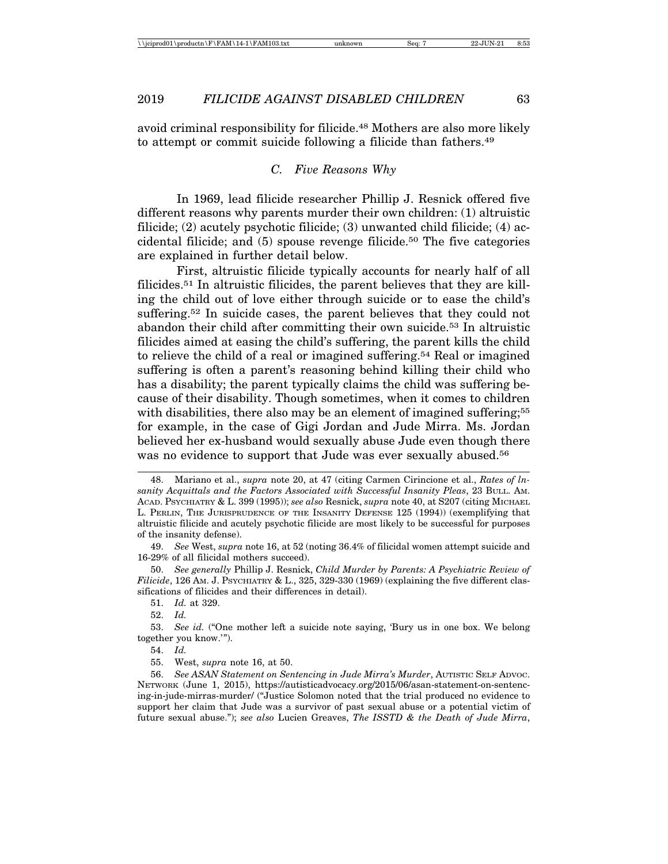avoid criminal responsibility for filicide.48 Mothers are also more likely to attempt or commit suicide following a filicide than fathers.49

#### *C. Five Reasons Why*

In 1969, lead filicide researcher Phillip J. Resnick offered five different reasons why parents murder their own children: (1) altruistic filicide; (2) acutely psychotic filicide; (3) unwanted child filicide; (4) accidental filicide; and  $(5)$  spouse revenge filicide.<sup>50</sup> The five categories are explained in further detail below.

First, altruistic filicide typically accounts for nearly half of all filicides.51 In altruistic filicides, the parent believes that they are killing the child out of love either through suicide or to ease the child's suffering.52 In suicide cases, the parent believes that they could not abandon their child after committing their own suicide.<sup>53</sup> In altruistic filicides aimed at easing the child's suffering, the parent kills the child to relieve the child of a real or imagined suffering.54 Real or imagined suffering is often a parent's reasoning behind killing their child who has a disability; the parent typically claims the child was suffering because of their disability. Though sometimes, when it comes to children with disabilities, there also may be an element of imagined suffering;<sup>55</sup> for example, in the case of Gigi Jordan and Jude Mirra. Ms. Jordan believed her ex-husband would sexually abuse Jude even though there was no evidence to support that Jude was ever sexually abused.<sup>56</sup>

50. *See generally* Phillip J. Resnick, *Child Murder by Parents: A Psychiatric Review of Filicide*, 126 AM. J. PSYCHIATRY & L., 325, 329-330 (1969) (explaining the five different classifications of filicides and their differences in detail).

51. *Id.* at 329.

52. *Id.*

53. *See id.* ("One mother left a suicide note saying, 'Bury us in one box. We belong together you know.'").

54. *Id.*

56. *See ASAN Statement on Sentencing in Jude Mirra's Murder*, AUTISTIC SELF ADVOC. NETWORK (June 1, 2015), https://autisticadvocacy.org/2015/06/asan-statement-on-sentencing-in-jude-mirras-murder/ ("Justice Solomon noted that the trial produced no evidence to support her claim that Jude was a survivor of past sexual abuse or a potential victim of future sexual abuse."); *see also* Lucien Greaves, *The ISSTD & the Death of Jude Mirra*,

<sup>48.</sup> Mariano et al., *supra* note 20, at 47 (citing Carmen Cirincione et al., *Rates of lnsanity Acquittals and the Factors Associated with Successful Insanity Pleas*, 23 BULL. AM. ACAD. PSYCHIATRY & L. 399 (1995)); *see also* Resnick, *supra* note 40, at S207 (citing MICHAEL L. PERLIN, THE JURISPRUDENCE OF THE INSANITY DEFENSE 125 (1994)) (exemplifying that altruistic filicide and acutely psychotic filicide are most likely to be successful for purposes of the insanity defense).

<sup>49.</sup> *See* West, *supra* note 16, at 52 (noting 36.4% of filicidal women attempt suicide and 16-29% of all filicidal mothers succeed).

<sup>55.</sup> West, *supra* note 16, at 50.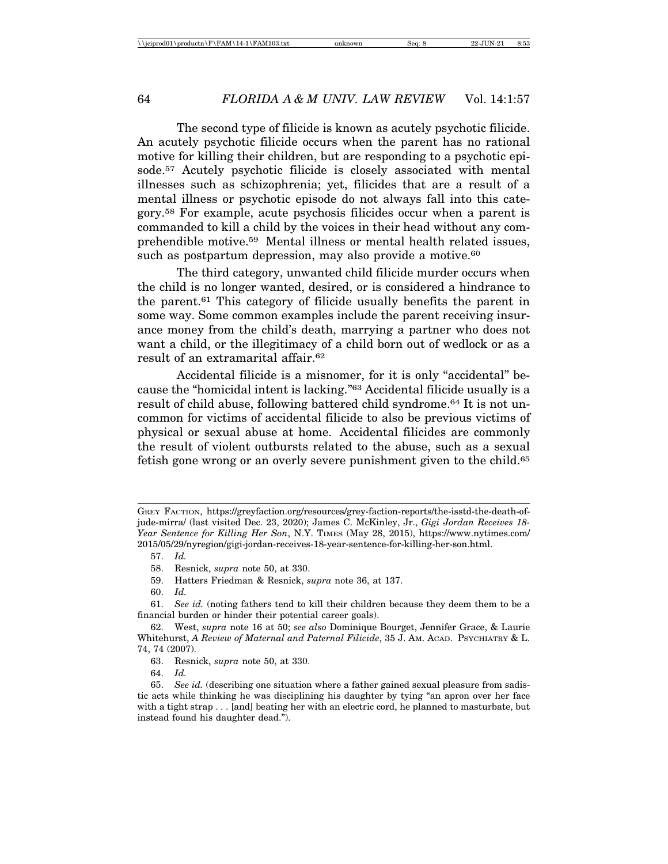The second type of filicide is known as acutely psychotic filicide. An acutely psychotic filicide occurs when the parent has no rational motive for killing their children, but are responding to a psychotic episode.57 Acutely psychotic filicide is closely associated with mental illnesses such as schizophrenia; yet, filicides that are a result of a mental illness or psychotic episode do not always fall into this category.58 For example, acute psychosis filicides occur when a parent is commanded to kill a child by the voices in their head without any comprehendible motive.59 Mental illness or mental health related issues, such as postpartum depression, may also provide a motive.<sup>60</sup>

The third category, unwanted child filicide murder occurs when the child is no longer wanted, desired, or is considered a hindrance to the parent.61 This category of filicide usually benefits the parent in some way. Some common examples include the parent receiving insurance money from the child's death, marrying a partner who does not want a child, or the illegitimacy of a child born out of wedlock or as a result of an extramarital affair.62

Accidental filicide is a misnomer, for it is only "accidental" because the "homicidal intent is lacking."63 Accidental filicide usually is a result of child abuse, following battered child syndrome.64 It is not uncommon for victims of accidental filicide to also be previous victims of physical or sexual abuse at home. Accidental filicides are commonly the result of violent outbursts related to the abuse, such as a sexual fetish gone wrong or an overly severe punishment given to the child.65

59. Hatters Friedman & Resnick, *supra* note 36, at 137.

GREY FACTION, https://greyfaction.org/resources/grey-faction-reports/the-isstd-the-death-ofjude-mirra/ (last visited Dec. 23, 2020); James C. McKinley, Jr., *Gigi Jordan Receives 18- Year Sentence for Killing Her Son*, N.Y. TIMES (May 28, 2015), https://www.nytimes.com/ 2015/05/29/nyregion/gigi-jordan-receives-18-year-sentence-for-killing-her-son.html.

<sup>57.</sup> *Id.*

<sup>58.</sup> Resnick, *supra* note 50, at 330.

<sup>60.</sup> *Id.*

<sup>61.</sup> *See id.* (noting fathers tend to kill their children because they deem them to be a financial burden or hinder their potential career goals).

<sup>62.</sup> West, *supra* note 16 at 50; *see also* Dominique Bourget, Jennifer Grace, & Laurie Whitehurst, *A Review of Maternal and Paternal Filicide*, 35 J. AM. ACAD. PSYCHIATRY & L. 74, 74 (2007).

<sup>63.</sup> Resnick, *supra* note 50, at 330.

<sup>64.</sup> *Id.*

<sup>65.</sup> *See id.* (describing one situation where a father gained sexual pleasure from sadistic acts while thinking he was disciplining his daughter by tying "an apron over her face with a tight strap . . . [and] beating her with an electric cord, he planned to masturbate, but instead found his daughter dead.").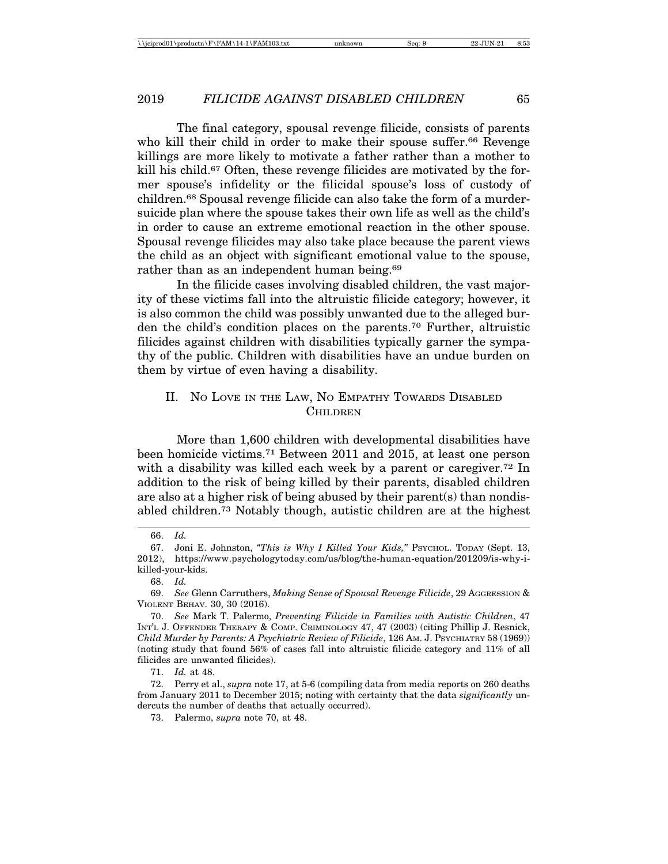The final category, spousal revenge filicide, consists of parents who kill their child in order to make their spouse suffer.<sup>66</sup> Revenge killings are more likely to motivate a father rather than a mother to kill his child.67 Often, these revenge filicides are motivated by the former spouse's infidelity or the filicidal spouse's loss of custody of children.68 Spousal revenge filicide can also take the form of a murdersuicide plan where the spouse takes their own life as well as the child's in order to cause an extreme emotional reaction in the other spouse. Spousal revenge filicides may also take place because the parent views the child as an object with significant emotional value to the spouse, rather than as an independent human being.<sup>69</sup>

In the filicide cases involving disabled children, the vast majority of these victims fall into the altruistic filicide category; however, it is also common the child was possibly unwanted due to the alleged burden the child's condition places on the parents.70 Further, altruistic filicides against children with disabilities typically garner the sympathy of the public. Children with disabilities have an undue burden on them by virtue of even having a disability.

# II. NO LOVE IN THE LAW, NO EMPATHY TOWARDS DISABLED **CHILDREN**

More than 1,600 children with developmental disabilities have been homicide victims.71 Between 2011 and 2015, at least one person with a disability was killed each week by a parent or caregiver.<sup>72</sup> In addition to the risk of being killed by their parents, disabled children are also at a higher risk of being abused by their parent(s) than nondisabled children.73 Notably though, autistic children are at the highest

<sup>66.</sup> *Id.*

<sup>67.</sup> Joni E. Johnston, *"This is Why I Killed Your Kids,"* PSYCHOL. TODAY (Sept. 13, 2012), https://www.psychologytoday.com/us/blog/the-human-equation/201209/is-why-ikilled-your-kids.

<sup>68.</sup> *Id.*

<sup>69.</sup> *See* Glenn Carruthers, *Making Sense of Spousal Revenge Filicide*, 29 AGGRESSION & VIOLENT BEHAV. 30, 30 (2016).

<sup>70.</sup> *See* Mark T. Palermo, *Preventing Filicide in Families with Autistic Children*, 47 INT'L J. OFFENDER THERAPY & COMP. CRIMINOLOGY 47, 47 (2003) (citing Phillip J. Resnick, *Child Murder by Parents: A Psychiatric Review of Filicide*, 126 AM. J. PSYCHIATRY 58 (1969)) (noting study that found 56% of cases fall into altruistic filicide category and 11% of all filicides are unwanted filicides).

<sup>71.</sup> *Id.* at 48.

<sup>72.</sup> Perry et al., *supra* note 17, at 5-6 (compiling data from media reports on 260 deaths from January 2011 to December 2015; noting with certainty that the data *significantly* undercuts the number of deaths that actually occurred).

<sup>73.</sup> Palermo, *supra* note 70, at 48.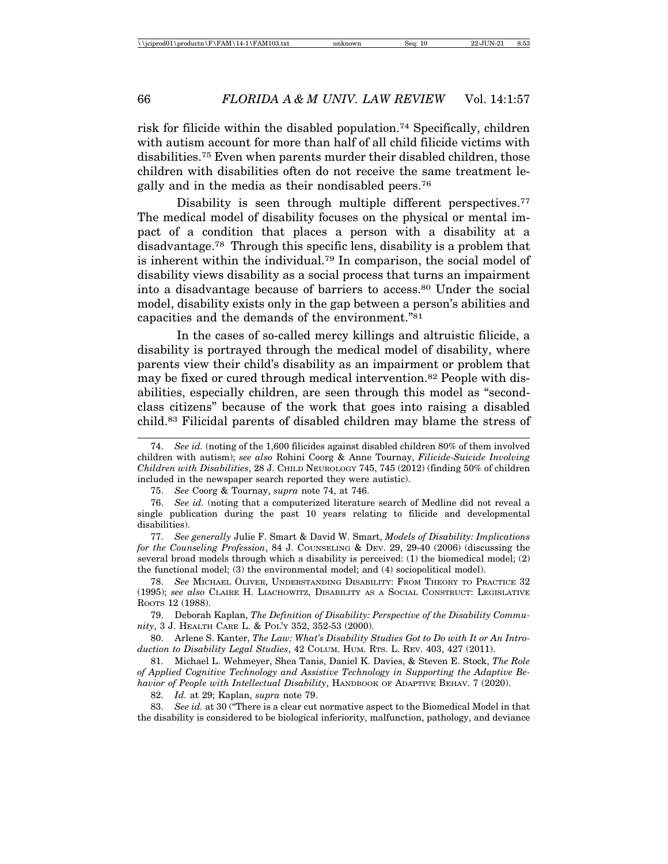risk for filicide within the disabled population.74 Specifically, children with autism account for more than half of all child filicide victims with disabilities.75 Even when parents murder their disabled children, those children with disabilities often do not receive the same treatment legally and in the media as their nondisabled peers.76

Disability is seen through multiple different perspectives.<sup>77</sup> The medical model of disability focuses on the physical or mental impact of a condition that places a person with a disability at a disadvantage.78 Through this specific lens, disability is a problem that is inherent within the individual.79 In comparison, the social model of disability views disability as a social process that turns an impairment into a disadvantage because of barriers to access.80 Under the social model, disability exists only in the gap between a person's abilities and capacities and the demands of the environment."81

In the cases of so-called mercy killings and altruistic filicide, a disability is portrayed through the medical model of disability, where parents view their child's disability as an impairment or problem that may be fixed or cured through medical intervention.82 People with disabilities, especially children, are seen through this model as "secondclass citizens" because of the work that goes into raising a disabled child.83 Filicidal parents of disabled children may blame the stress of

77. *See generally* Julie F. Smart & David W. Smart, *Models of Disability: Implications for the Counseling Profession*, 84 J. COUNSELING & DEV. 29, 29-40 (2006) (discussing the several broad models through which a disability is perceived: (1) the biomedical model; (2) the functional model; (3) the environmental model; and (4) sociopolitical model).

78. *See* MICHAEL OLIVER, UNDERSTANDING DISABILITY: FROM THEORY TO PRACTICE 32 (1995); *see also* CLAIRE H. LIACHOWITZ, DISABILITY AS A SOCIAL CONSTRUCT: LEGISLATIVE ROOTS 12 (1988).

79. Deborah Kaplan, *The Definition of Disability: Perspective of the Disability Community*, 3 J. HEALTH CARE L. & POL'Y 352, 352-53 (2000).

80. Arlene S. Kanter, *The Law: What's Disability Studies Got to Do with It or An Introduction to Disability Legal Studies*, 42 COLUM. HUM. RTS. L. REV. 403, 427 (2011).

81. Michael L. Wehmeyer, Shea Tanis, Daniel K. Davies, & Steven E. Stock, *The Role of Applied Cognitive Technology and Assistive Technology in Supporting the Adaptive Behavior of People with Intellectual Disability*, HANDBOOK OF ADAPTIVE BEHAV. 7 (2020).

82. *Id.* at 29; Kaplan, *supra* note 79.

83. *See id.* at 30 ("There is a clear cut normative aspect to the Biomedical Model in that the disability is considered to be biological inferiority, malfunction, pathology, and deviance

<sup>74.</sup> *See id.* (noting of the 1,600 filicides against disabled children 80% of them involved children with autism); *see also* Rohini Coorg & Anne Tournay, *Filicide-Suicide Involving Children with Disabilities*, 28 J. CHILD NEUROLOGY 745, 745 (2012) (finding 50% of children included in the newspaper search reported they were autistic).

<sup>75.</sup> *See* Coorg & Tournay, *supra* note 74, at 746.

<sup>76.</sup> *See id.* (noting that a computerized literature search of Medline did not reveal a single publication during the past 10 years relating to filicide and developmental disabilities).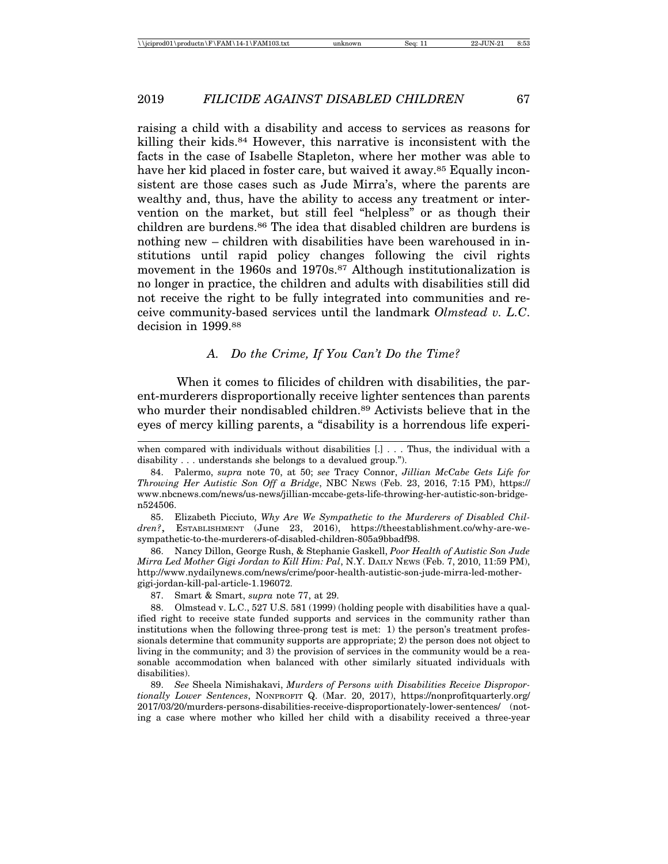raising a child with a disability and access to services as reasons for killing their kids.84 However, this narrative is inconsistent with the facts in the case of Isabelle Stapleton, where her mother was able to have her kid placed in foster care, but waived it away.85 Equally inconsistent are those cases such as Jude Mirra's, where the parents are wealthy and, thus, have the ability to access any treatment or intervention on the market, but still feel "helpless" or as though their children are burdens.<sup>86</sup> The idea that disabled children are burdens is nothing new – children with disabilities have been warehoused in institutions until rapid policy changes following the civil rights movement in the 1960s and 1970s.<sup>87</sup> Although institutionalization is no longer in practice, the children and adults with disabilities still did not receive the right to be fully integrated into communities and receive community-based services until the landmark *Olmstead v. L.C*. decision in 1999.88

#### *A. Do the Crime, If You Can't Do the Time?*

When it comes to filicides of children with disabilities, the parent-murderers disproportionally receive lighter sentences than parents who murder their nondisabled children.<sup>89</sup> Activists believe that in the eyes of mercy killing parents, a "disability is a horrendous life experi-

85. Elizabeth Picciuto, *Why Are We Sympathetic to the Murderers of Disabled Children?*, ESTABLISHMENT (June 23, 2016), https://theestablishment.co/why-are-wesympathetic-to-the-murderers-of-disabled-children-805a9bbadf98.

86. Nancy Dillon, George Rush, & Stephanie Gaskell, *Poor Health of Autistic Son Jude Mirra Led Mother Gigi Jordan to Kill Him: Pal*, N.Y. DAILY NEWS (Feb. 7, 2010, 11:59 PM), http://www.nydailynews.com/news/crime/poor-health-autistic-son-jude-mirra-led-mothergigi-jordan-kill-pal-article-1.196072.

87. Smart & Smart, *supra* note 77, at 29.

88. Olmstead v. L.C., 527 U.S. 581 (1999) (holding people with disabilities have a qualified right to receive state funded supports and services in the community rather than institutions when the following three-prong test is met: 1) the person's treatment professionals determine that community supports are appropriate; 2) the person does not object to living in the community; and 3) the provision of services in the community would be a reasonable accommodation when balanced with other similarly situated individuals with disabilities).

89. *See* Sheela Nimishakavi, *Murders of Persons with Disabilities Receive Disproportionally Lower Sentences*, NONPROFIT Q. (Mar. 20, 2017), https://nonprofitquarterly.org/ 2017/03/20/murders-persons-disabilities-receive-disproportionately-lower-sentences/ (noting a case where mother who killed her child with a disability received a three-year

when compared with individuals without disabilities [.] . . . Thus, the individual with a disability . . . understands she belongs to a devalued group.").

<sup>84.</sup> Palermo, *supra* note 70, at 50; *see* Tracy Connor, *Jillian McCabe Gets Life for Throwing Her Autistic Son Off a Bridge*, NBC NEWS (Feb. 23, 2016, 7:15 PM), https:// www.nbcnews.com/news/us-news/jillian-mccabe-gets-life-throwing-her-autistic-son-bridgen524506.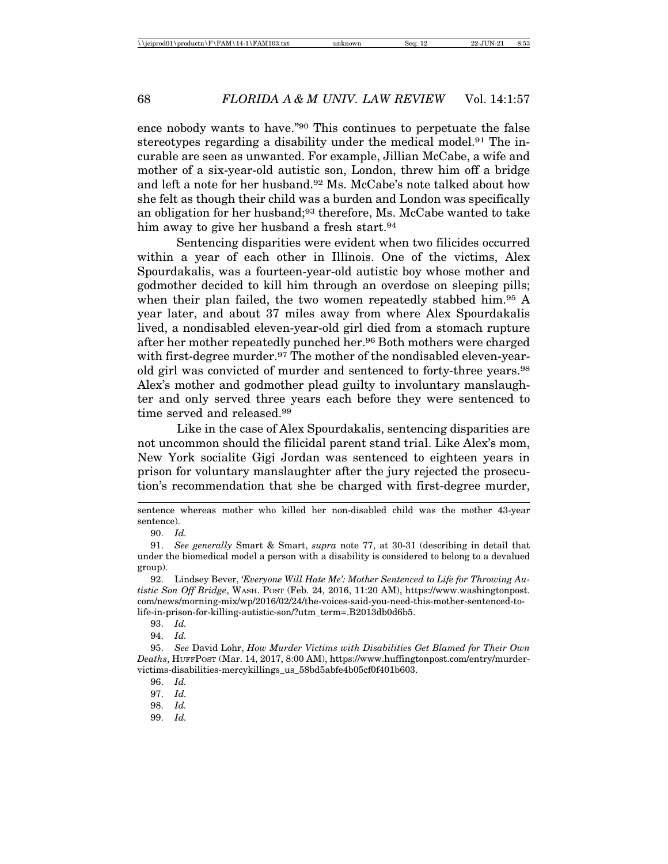ence nobody wants to have."90 This continues to perpetuate the false stereotypes regarding a disability under the medical model.91 The incurable are seen as unwanted. For example, Jillian McCabe, a wife and mother of a six-year-old autistic son, London, threw him off a bridge and left a note for her husband.92 Ms. McCabe's note talked about how she felt as though their child was a burden and London was specifically an obligation for her husband;<sup>93</sup> therefore, Ms. McCabe wanted to take him away to give her husband a fresh start.<sup>94</sup>

Sentencing disparities were evident when two filicides occurred within a year of each other in Illinois. One of the victims, Alex Spourdakalis, was a fourteen-year-old autistic boy whose mother and godmother decided to kill him through an overdose on sleeping pills; when their plan failed, the two women repeatedly stabbed him.<sup>95</sup> A year later, and about 37 miles away from where Alex Spourdakalis lived, a nondisabled eleven-year-old girl died from a stomach rupture after her mother repeatedly punched her.96 Both mothers were charged with first-degree murder.<sup>97</sup> The mother of the nondisabled eleven-yearold girl was convicted of murder and sentenced to forty-three years.98 Alex's mother and godmother plead guilty to involuntary manslaughter and only served three years each before they were sentenced to time served and released.99

Like in the case of Alex Spourdakalis, sentencing disparities are not uncommon should the filicidal parent stand trial. Like Alex's mom, New York socialite Gigi Jordan was sentenced to eighteen years in prison for voluntary manslaughter after the jury rejected the prosecution's recommendation that she be charged with first-degree murder,

sentence whereas mother who killed her non-disabled child was the mother 43-year sentence).

<sup>90.</sup> *Id.*

<sup>91.</sup> *See generally* Smart & Smart, *supra* note 77, at 30-31 (describing in detail that under the biomedical model a person with a disability is considered to belong to a devalued group).

<sup>92.</sup> Lindsey Bever, *'Everyone Will Hate Me': Mother Sentenced to Life for Throwing Autistic Son Off Bridge*, WASH. POST (Feb. 24, 2016, 11:20 AM), https://www.washingtonpost. com/news/morning-mix/wp/2016/02/24/the-voices-said-you-need-this-mother-sentenced-tolife-in-prison-for-killing-autistic-son/?utm\_term=.B2013db0d6b5.

<sup>93.</sup> *Id.*

<sup>94.</sup> *Id.*

<sup>95.</sup> *See* David Lohr, *How Murder Victims with Disabilities Get Blamed for Their Own Deaths*, HUFFPOST (Mar. 14, 2017, 8:00 AM), https://www.huffingtonpost.com/entry/murdervictims-disabilities-mercykillings\_us\_58bd5abfe4b05cf0f401b603.

<sup>96.</sup> *Id.*

<sup>97.</sup> *Id.*

<sup>98.</sup> *Id.*

<sup>99.</sup> *Id.*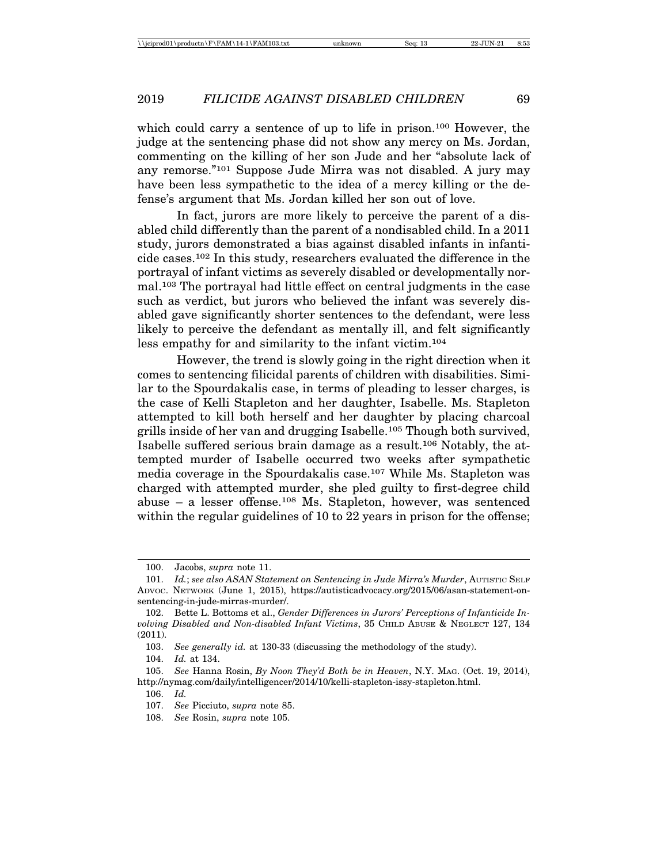which could carry a sentence of up to life in prison.<sup>100</sup> However, the judge at the sentencing phase did not show any mercy on Ms. Jordan, commenting on the killing of her son Jude and her "absolute lack of any remorse."101 Suppose Jude Mirra was not disabled. A jury may have been less sympathetic to the idea of a mercy killing or the defense's argument that Ms. Jordan killed her son out of love.

In fact, jurors are more likely to perceive the parent of a disabled child differently than the parent of a nondisabled child. In a 2011 study, jurors demonstrated a bias against disabled infants in infanticide cases.102 In this study, researchers evaluated the difference in the portrayal of infant victims as severely disabled or developmentally normal.103 The portrayal had little effect on central judgments in the case such as verdict, but jurors who believed the infant was severely disabled gave significantly shorter sentences to the defendant, were less likely to perceive the defendant as mentally ill, and felt significantly less empathy for and similarity to the infant victim.104

However, the trend is slowly going in the right direction when it comes to sentencing filicidal parents of children with disabilities. Similar to the Spourdakalis case, in terms of pleading to lesser charges, is the case of Kelli Stapleton and her daughter, Isabelle. Ms. Stapleton attempted to kill both herself and her daughter by placing charcoal grills inside of her van and drugging Isabelle.105 Though both survived, Isabelle suffered serious brain damage as a result.106 Notably, the attempted murder of Isabelle occurred two weeks after sympathetic media coverage in the Spourdakalis case.107 While Ms. Stapleton was charged with attempted murder, she pled guilty to first-degree child abuse – a lesser offense.108 Ms. Stapleton, however, was sentenced within the regular guidelines of 10 to 22 years in prison for the offense;

<sup>100.</sup> Jacobs, *supra* note 11.

<sup>101.</sup> *Id.*; see also ASAN Statement on Sentencing in Jude Mirra's Murder, AUTISTIC SELF ADVOC. NETWORK (June 1, 2015), https://autisticadvocacy.org/2015/06/asan-statement-onsentencing-in-jude-mirras-murder/.

<sup>102.</sup> Bette L. Bottoms et al., *Gender Differences in Jurors' Perceptions of Infanticide Involving Disabled and Non-disabled Infant Victims*, 35 CHILD ABUSE & NEGLECT 127, 134 (2011).

<sup>103.</sup> *See generally id.* at 130-33 (discussing the methodology of the study).

<sup>104.</sup> *Id.* at 134.

<sup>105.</sup> *See* Hanna Rosin, *By Noon They'd Both be in Heaven*, N.Y. MAG. (Oct. 19, 2014), http://nymag.com/daily/intelligencer/2014/10/kelli-stapleton-issy-stapleton.html.

<sup>106.</sup> *Id.*

<sup>107.</sup> *See* Picciuto, *supra* note 85.

<sup>108.</sup> *See* Rosin, *supra* note 105.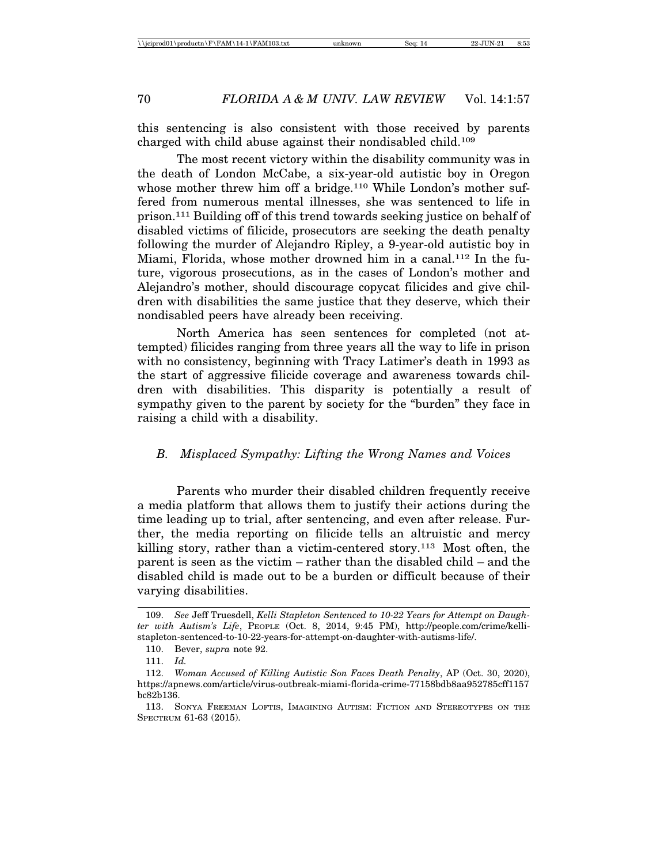this sentencing is also consistent with those received by parents charged with child abuse against their nondisabled child.109

The most recent victory within the disability community was in the death of London McCabe, a six-year-old autistic boy in Oregon whose mother threw him off a bridge.<sup>110</sup> While London's mother suffered from numerous mental illnesses, she was sentenced to life in prison.111 Building off of this trend towards seeking justice on behalf of disabled victims of filicide, prosecutors are seeking the death penalty following the murder of Alejandro Ripley, a 9-year-old autistic boy in Miami, Florida, whose mother drowned him in a canal.112 In the future, vigorous prosecutions, as in the cases of London's mother and Alejandro's mother, should discourage copycat filicides and give children with disabilities the same justice that they deserve, which their nondisabled peers have already been receiving.

North America has seen sentences for completed (not attempted) filicides ranging from three years all the way to life in prison with no consistency, beginning with Tracy Latimer's death in 1993 as the start of aggressive filicide coverage and awareness towards children with disabilities. This disparity is potentially a result of sympathy given to the parent by society for the "burden" they face in raising a child with a disability.

#### *B. Misplaced Sympathy: Lifting the Wrong Names and Voices*

Parents who murder their disabled children frequently receive a media platform that allows them to justify their actions during the time leading up to trial, after sentencing, and even after release. Further, the media reporting on filicide tells an altruistic and mercy killing story, rather than a victim-centered story.113 Most often, the parent is seen as the victim – rather than the disabled child – and the disabled child is made out to be a burden or difficult because of their varying disabilities.

<sup>109.</sup> *See* Jeff Truesdell, *Kelli Stapleton Sentenced to 10-22 Years for Attempt on Daughter with Autism's Life*, PEOPLE (Oct. 8, 2014, 9:45 PM), http://people.com/crime/kellistapleton-sentenced-to-10-22-years-for-attempt-on-daughter-with-autisms-life/.

<sup>110.</sup> Bever, *supra* note 92.

<sup>111.</sup> *Id.*

<sup>112.</sup> *Woman Accused of Killing Autistic Son Faces Death Penalty*, AP (Oct. 30, 2020), https://apnews.com/article/virus-outbreak-miami-florida-crime-77158bdb8aa952785cff1157 bc82b136.

<sup>113.</sup> SONYA FREEMAN LOFTIS, IMAGINING AUTISM: FICTION AND STEREOTYPES ON THE SPECTRUM 61-63 (2015).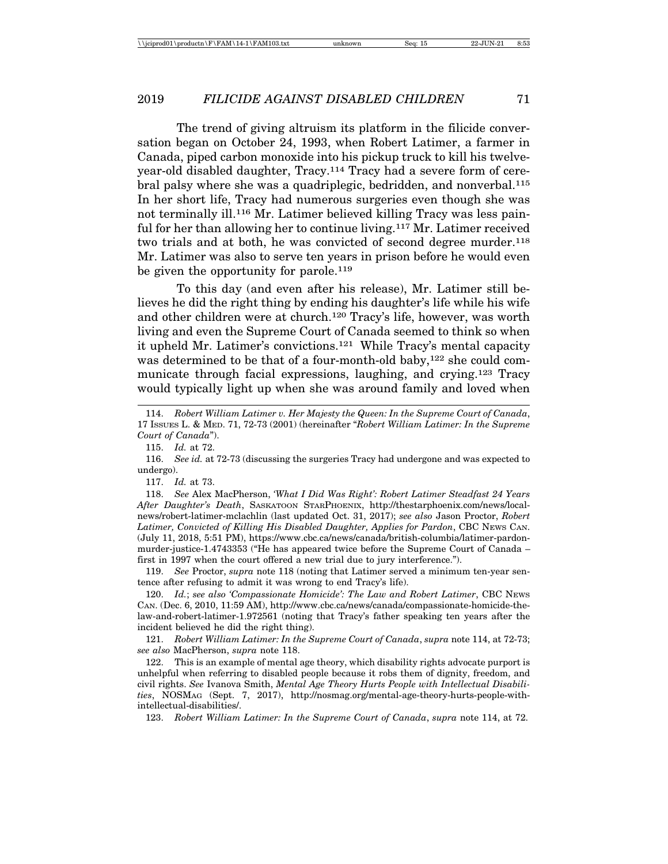The trend of giving altruism its platform in the filicide conversation began on October 24, 1993, when Robert Latimer, a farmer in Canada, piped carbon monoxide into his pickup truck to kill his twelveyear-old disabled daughter, Tracy.114 Tracy had a severe form of cerebral palsy where she was a quadriplegic, bedridden, and nonverbal.115 In her short life, Tracy had numerous surgeries even though she was not terminally ill.116 Mr. Latimer believed killing Tracy was less painful for her than allowing her to continue living.117 Mr. Latimer received two trials and at both, he was convicted of second degree murder.<sup>118</sup> Mr. Latimer was also to serve ten years in prison before he would even be given the opportunity for parole.<sup>119</sup>

To this day (and even after his release), Mr. Latimer still believes he did the right thing by ending his daughter's life while his wife and other children were at church.120 Tracy's life, however, was worth living and even the Supreme Court of Canada seemed to think so when it upheld Mr. Latimer's convictions.121 While Tracy's mental capacity was determined to be that of a four-month-old baby,<sup>122</sup> she could communicate through facial expressions, laughing, and crying.123 Tracy would typically light up when she was around family and loved when

115. *Id.* at 72.

116. *See id.* at 72-73 (discussing the surgeries Tracy had undergone and was expected to undergo).

117. *Id.* at 73.

118. *See* Alex MacPherson, *'What I Did Was Right': Robert Latimer Steadfast 24 Years After Daughter's Death*, SASKATOON STARPHOENIX, http://thestarphoenix.com/news/localnews/robert-latimer-mclachlin (last updated Oct. 31, 2017); *see also* Jason Proctor, *Robert Latimer, Convicted of Killing His Disabled Daughter, Applies for Pardon*, CBC NEWS CAN. (July 11, 2018, 5:51 PM), https://www.cbc.ca/news/canada/british-columbia/latimer-pardonmurder-justice-1.4743353 ("He has appeared twice before the Supreme Court of Canada – first in 1997 when the court offered a new trial due to jury interference.").

119. *See* Proctor, *supra* note 118 (noting that Latimer served a minimum ten-year sentence after refusing to admit it was wrong to end Tracy's life).

120. *Id.*; *see also 'Compassionate Homicide': The Law and Robert Latimer*, CBC NEWS CAN. (Dec. 6, 2010, 11:59 AM), http://www.cbc.ca/news/canada/compassionate-homicide-thelaw-and-robert-latimer-1.972561 (noting that Tracy's father speaking ten years after the incident believed he did the right thing).

121. *Robert William Latimer: In the Supreme Court of Canada*, *supra* note 114, at 72-73; *see also* MacPherson, *supra* note 118.

122. This is an example of mental age theory, which disability rights advocate purport is unhelpful when referring to disabled people because it robs them of dignity, freedom, and civil rights. *See* Ivanova Smith, *Mental Age Theory Hurts People with Intellectual Disabilities*, NOSMAG (Sept. 7, 2017), http://nosmag.org/mental-age-theory-hurts-people-withintellectual-disabilities/.

123. *Robert William Latimer: In the Supreme Court of Canada*, *supra* note 114, at 72.

<sup>114.</sup> *Robert William Latimer v. Her Majesty the Queen: In the Supreme Court of Canada*, 17 ISSUES L. & MED. 71, 72-73 (2001) (hereinafter "*Robert William Latimer: In the Supreme Court of Canada*").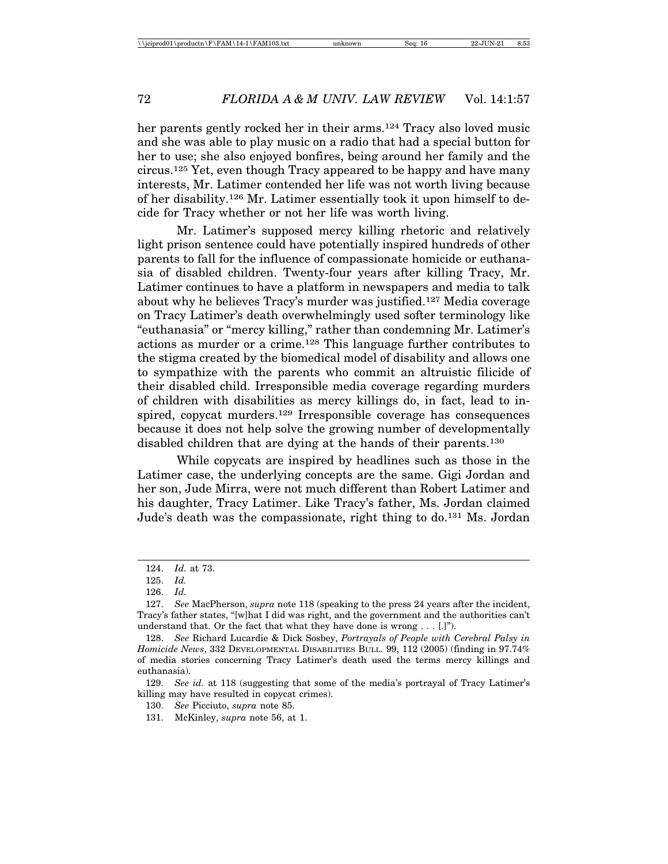her parents gently rocked her in their arms.<sup>124</sup> Tracy also loved music and she was able to play music on a radio that had a special button for her to use; she also enjoyed bonfires, being around her family and the circus.125 Yet, even though Tracy appeared to be happy and have many interests, Mr. Latimer contended her life was not worth living because of her disability.126 Mr. Latimer essentially took it upon himself to decide for Tracy whether or not her life was worth living.

Mr. Latimer's supposed mercy killing rhetoric and relatively light prison sentence could have potentially inspired hundreds of other parents to fall for the influence of compassionate homicide or euthanasia of disabled children. Twenty-four years after killing Tracy, Mr. Latimer continues to have a platform in newspapers and media to talk about why he believes Tracy's murder was justified.127 Media coverage on Tracy Latimer's death overwhelmingly used softer terminology like "euthanasia" or "mercy killing," rather than condemning Mr. Latimer's actions as murder or a crime.128 This language further contributes to the stigma created by the biomedical model of disability and allows one to sympathize with the parents who commit an altruistic filicide of their disabled child. Irresponsible media coverage regarding murders of children with disabilities as mercy killings do, in fact, lead to inspired, copycat murders.129 Irresponsible coverage has consequences because it does not help solve the growing number of developmentally disabled children that are dying at the hands of their parents.<sup>130</sup>

While copycats are inspired by headlines such as those in the Latimer case, the underlying concepts are the same. Gigi Jordan and her son, Jude Mirra, were not much different than Robert Latimer and his daughter, Tracy Latimer. Like Tracy's father, Ms. Jordan claimed Jude's death was the compassionate, right thing to do.131 Ms. Jordan

<sup>124.</sup> *Id.* at 73.

<sup>125.</sup> *Id.*

<sup>126.</sup> *Id.*

<sup>127.</sup> *See* MacPherson, *supra* note 118 (speaking to the press 24 years after the incident, Tracy's father states, "[w]hat I did was right, and the government and the authorities can't understand that. Or the fact that what they have done is wrong . . . [.]").

<sup>128.</sup> *See* Richard Lucardie & Dick Sosbey, *Portrayals of People with Cerebral Palsy in Homicide News*, 332 DEVELOPMENTAL DISABILITIES BULL. 99, 112 (2005) (finding in 97.74% of media stories concerning Tracy Latimer's death used the terms mercy killings and euthanasia).

<sup>129.</sup> *See id.* at 118 (suggesting that some of the media's portrayal of Tracy Latimer's killing may have resulted in copycat crimes).

<sup>130.</sup> *See* Picciuto, *supra* note 85.

<sup>131.</sup> McKinley, *supra* note 56, at 1.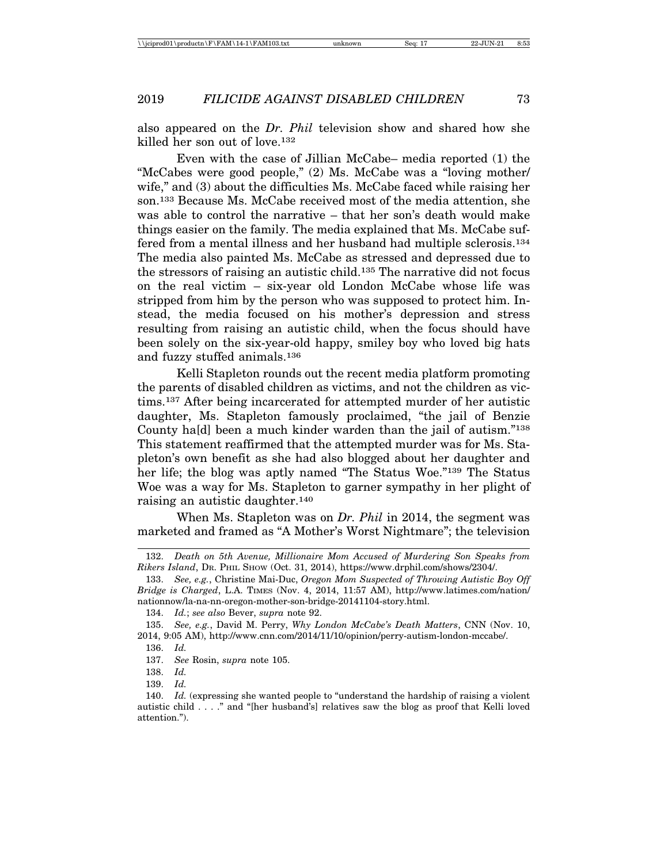also appeared on the *Dr. Phil* television show and shared how she killed her son out of love.132

Even with the case of Jillian McCabe– media reported (1) the "McCabes were good people," (2) Ms. McCabe was a "loving mother/ wife," and (3) about the difficulties Ms. McCabe faced while raising her son.133 Because Ms. McCabe received most of the media attention, she was able to control the narrative – that her son's death would make things easier on the family. The media explained that Ms. McCabe suffered from a mental illness and her husband had multiple sclerosis.134 The media also painted Ms. McCabe as stressed and depressed due to the stressors of raising an autistic child.135 The narrative did not focus on the real victim – six-year old London McCabe whose life was stripped from him by the person who was supposed to protect him. Instead, the media focused on his mother's depression and stress resulting from raising an autistic child, when the focus should have been solely on the six-year-old happy, smiley boy who loved big hats and fuzzy stuffed animals.136

Kelli Stapleton rounds out the recent media platform promoting the parents of disabled children as victims, and not the children as victims.137 After being incarcerated for attempted murder of her autistic daughter, Ms. Stapleton famously proclaimed, "the jail of Benzie County ha[d] been a much kinder warden than the jail of autism."138 This statement reaffirmed that the attempted murder was for Ms. Stapleton's own benefit as she had also blogged about her daughter and her life; the blog was aptly named "The Status Woe."139 The Status Woe was a way for Ms. Stapleton to garner sympathy in her plight of raising an autistic daughter.140

When Ms. Stapleton was on *Dr. Phil* in 2014, the segment was marketed and framed as "A Mother's Worst Nightmare"; the television

<sup>132.</sup> *Death on 5th Avenue, Millionaire Mom Accused of Murdering Son Speaks from Rikers Island*, DR. PHIL SHOW (Oct. 31, 2014), https://www.drphil.com/shows/2304/.

<sup>133.</sup> *See, e.g.*, Christine Mai-Duc, *Oregon Mom Suspected of Throwing Autistic Boy Off Bridge is Charged*, L.A. TIMES (Nov. 4, 2014, 11:57 AM), http://www.latimes.com/nation/ nationnow/la-na-nn-oregon-mother-son-bridge-20141104-story.html.

<sup>134.</sup> *Id.*; *see also* Bever, *supra* note 92.

<sup>135.</sup> *See, e.g.*, David M. Perry, *Why London McCabe's Death Matters*, CNN (Nov. 10, 2014, 9:05 AM), http://www.cnn.com/2014/11/10/opinion/perry-autism-london-mccabe/.

<sup>136.</sup> *Id.*

<sup>137.</sup> *See* Rosin, *supra* note 105.

<sup>138.</sup> *Id.*

<sup>139.</sup> *Id.*

<sup>140.</sup> *Id.* (expressing she wanted people to "understand the hardship of raising a violent autistic child . . . ." and "[her husband's] relatives saw the blog as proof that Kelli loved attention.").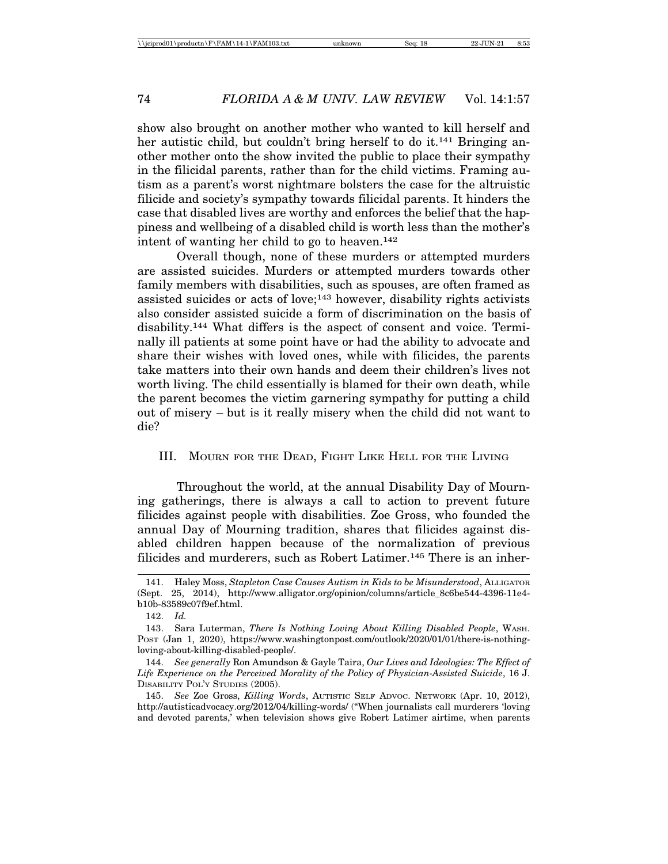show also brought on another mother who wanted to kill herself and her autistic child, but couldn't bring herself to do it.<sup>141</sup> Bringing another mother onto the show invited the public to place their sympathy in the filicidal parents, rather than for the child victims. Framing autism as a parent's worst nightmare bolsters the case for the altruistic filicide and society's sympathy towards filicidal parents. It hinders the case that disabled lives are worthy and enforces the belief that the happiness and wellbeing of a disabled child is worth less than the mother's intent of wanting her child to go to heaven.142

Overall though, none of these murders or attempted murders are assisted suicides. Murders or attempted murders towards other family members with disabilities, such as spouses, are often framed as assisted suicides or acts of love;<sup>143</sup> however, disability rights activists also consider assisted suicide a form of discrimination on the basis of disability.144 What differs is the aspect of consent and voice. Terminally ill patients at some point have or had the ability to advocate and share their wishes with loved ones, while with filicides, the parents take matters into their own hands and deem their children's lives not worth living. The child essentially is blamed for their own death, while the parent becomes the victim garnering sympathy for putting a child out of misery – but is it really misery when the child did not want to die?

#### III. MOURN FOR THE DEAD, FIGHT LIKE HELL FOR THE LIVING

Throughout the world, at the annual Disability Day of Mourning gatherings, there is always a call to action to prevent future filicides against people with disabilities. Zoe Gross, who founded the annual Day of Mourning tradition, shares that filicides against disabled children happen because of the normalization of previous filicides and murderers, such as Robert Latimer.145 There is an inher-

<sup>141.</sup> Haley Moss, *Stapleton Case Causes Autism in Kids to be Misunderstood*, ALLIGATOR (Sept. 25, 2014), http://www.alligator.org/opinion/columns/article\_8c6be544-4396-11e4 b10b-83589c07f9ef.html.

<sup>142.</sup> *Id.*

<sup>143.</sup> Sara Luterman, *There Is Nothing Loving About Killing Disabled People*, WASH. POST (Jan 1, 2020), https://www.washingtonpost.com/outlook/2020/01/01/there-is-nothingloving-about-killing-disabled-people/.

<sup>144.</sup> *See generally* Ron Amundson & Gayle Taira, *Our Lives and Ideologies: The Effect of Life Experience on the Perceived Morality of the Policy of Physician-Assisted Suicide*, 16 J. DISABILITY POL'Y STUDIES (2005).

<sup>145.</sup> *See* Zoe Gross, *Killing Words*, AUTISTIC SELF ADVOC. NETWORK (Apr. 10, 2012), http://autisticadvocacy.org/2012/04/killing-words/ ("When journalists call murderers 'loving and devoted parents,' when television shows give Robert Latimer airtime, when parents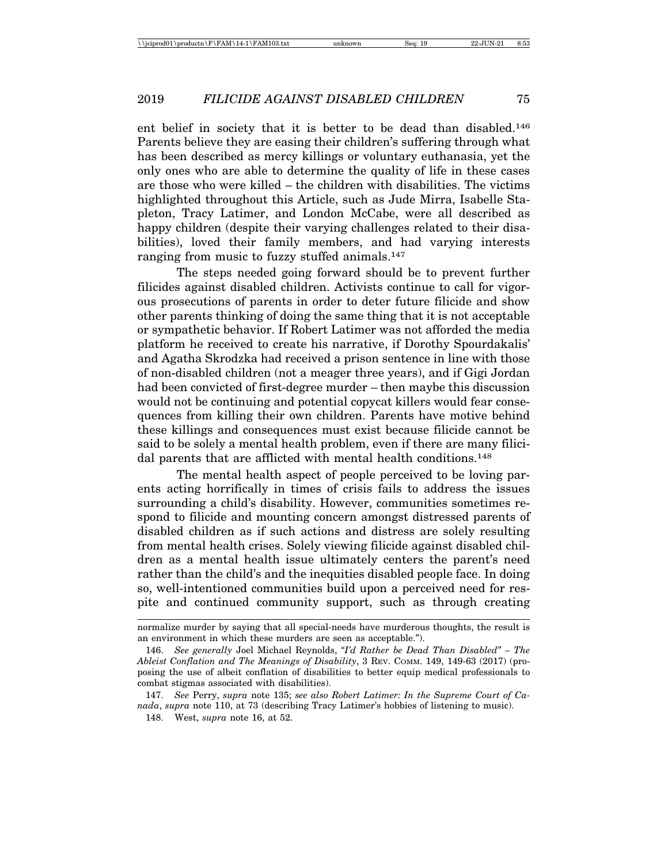ent belief in society that it is better to be dead than disabled.146 Parents believe they are easing their children's suffering through what has been described as mercy killings or voluntary euthanasia, yet the only ones who are able to determine the quality of life in these cases are those who were killed – the children with disabilities. The victims highlighted throughout this Article, such as Jude Mirra, Isabelle Stapleton, Tracy Latimer, and London McCabe, were all described as happy children (despite their varying challenges related to their disabilities), loved their family members, and had varying interests ranging from music to fuzzy stuffed animals.<sup>147</sup>

The steps needed going forward should be to prevent further filicides against disabled children. Activists continue to call for vigorous prosecutions of parents in order to deter future filicide and show other parents thinking of doing the same thing that it is not acceptable or sympathetic behavior. If Robert Latimer was not afforded the media platform he received to create his narrative, if Dorothy Spourdakalis' and Agatha Skrodzka had received a prison sentence in line with those of non-disabled children (not a meager three years), and if Gigi Jordan had been convicted of first-degree murder – then maybe this discussion would not be continuing and potential copycat killers would fear consequences from killing their own children. Parents have motive behind these killings and consequences must exist because filicide cannot be said to be solely a mental health problem, even if there are many filicidal parents that are afflicted with mental health conditions.<sup>148</sup>

The mental health aspect of people perceived to be loving parents acting horrifically in times of crisis fails to address the issues surrounding a child's disability. However, communities sometimes respond to filicide and mounting concern amongst distressed parents of disabled children as if such actions and distress are solely resulting from mental health crises. Solely viewing filicide against disabled children as a mental health issue ultimately centers the parent's need rather than the child's and the inequities disabled people face. In doing so, well-intentioned communities build upon a perceived need for respite and continued community support, such as through creating

normalize murder by saying that all special-needs have murderous thoughts, the result is an environment in which these murders are seen as acceptable.").

<sup>146.</sup> *See generally* Joel Michael Reynolds, *"I'd Rather be Dead Than Disabled" – The Ableist Conflation and The Meanings of Disability*, 3 REV. COMM. 149, 149-63 (2017) (proposing the use of albeit conflation of disabilities to better equip medical professionals to combat stigmas associated with disabilities).

<sup>147.</sup> *See* Perry, *supra* note 135; *see also Robert Latimer: In the Supreme Court of Canada*, *supra* note 110, at 73 (describing Tracy Latimer's hobbies of listening to music).

<sup>148.</sup> West, *supra* note 16, at 52.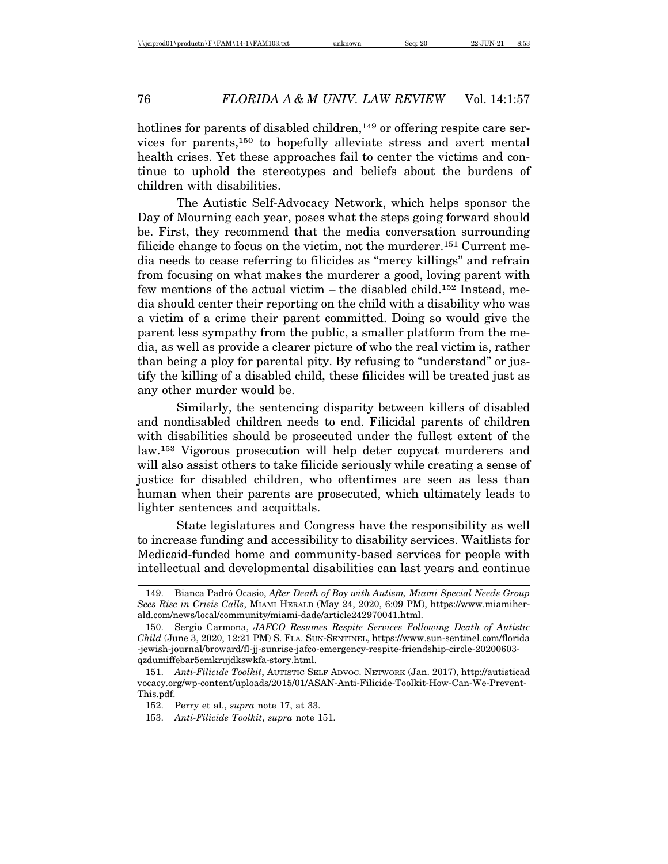hotlines for parents of disabled children,<sup>149</sup> or offering respite care services for parents,150 to hopefully alleviate stress and avert mental health crises. Yet these approaches fail to center the victims and continue to uphold the stereotypes and beliefs about the burdens of children with disabilities.

The Autistic Self-Advocacy Network, which helps sponsor the Day of Mourning each year, poses what the steps going forward should be. First, they recommend that the media conversation surrounding filicide change to focus on the victim, not the murderer.<sup>151</sup> Current media needs to cease referring to filicides as "mercy killings" and refrain from focusing on what makes the murderer a good, loving parent with few mentions of the actual victim – the disabled child.152 Instead, media should center their reporting on the child with a disability who was a victim of a crime their parent committed. Doing so would give the parent less sympathy from the public, a smaller platform from the media, as well as provide a clearer picture of who the real victim is, rather than being a ploy for parental pity. By refusing to "understand" or justify the killing of a disabled child, these filicides will be treated just as any other murder would be.

Similarly, the sentencing disparity between killers of disabled and nondisabled children needs to end. Filicidal parents of children with disabilities should be prosecuted under the fullest extent of the law.153 Vigorous prosecution will help deter copycat murderers and will also assist others to take filicide seriously while creating a sense of justice for disabled children, who oftentimes are seen as less than human when their parents are prosecuted, which ultimately leads to lighter sentences and acquittals.

State legislatures and Congress have the responsibility as well to increase funding and accessibility to disability services. Waitlists for Medicaid-funded home and community-based services for people with intellectual and developmental disabilities can last years and continue

<sup>149.</sup> Bianca Padr´o Ocasio, *After Death of Boy with Autism, Miami Special Needs Group Sees Rise in Crisis Calls*, MIAMI HERALD (May 24, 2020, 6:09 PM), https://www.miamiherald.com/news/local/community/miami-dade/article242970041.html.

<sup>150.</sup> Sergio Carmona, *JAFCO Resumes Respite Services Following Death of Autistic Child* (June 3, 2020, 12:21 PM) S. FLA. SUN-SENTINEL, https://www.sun-sentinel.com/florida -jewish-journal/broward/fl-jj-sunrise-jafco-emergency-respite-friendship-circle-20200603 qzdumiffebar5emkrujdkswkfa-story.html.

<sup>151.</sup> *Anti-Filicide Toolkit*, AUTISTIC SELF ADVOC. NETWORK (Jan. 2017), http://autisticad vocacy.org/wp-content/uploads/2015/01/ASAN-Anti-Filicide-Toolkit-How-Can-We-Prevent-This.pdf.

<sup>152.</sup> Perry et al., *supra* note 17, at 33.

<sup>153.</sup> *Anti-Filicide Toolkit*, *supra* note 151.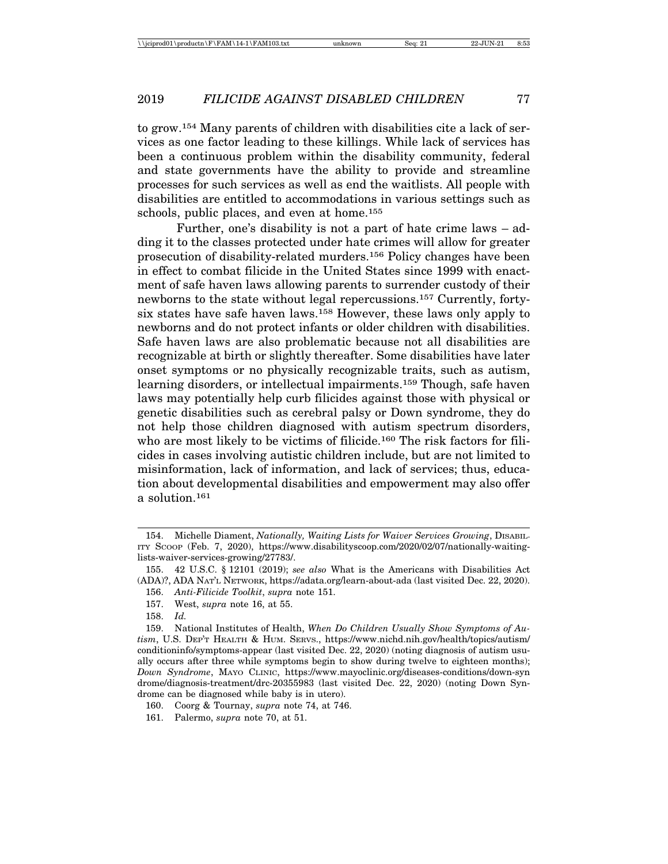to grow.154 Many parents of children with disabilities cite a lack of services as one factor leading to these killings. While lack of services has been a continuous problem within the disability community, federal and state governments have the ability to provide and streamline processes for such services as well as end the waitlists. All people with disabilities are entitled to accommodations in various settings such as schools, public places, and even at home.<sup>155</sup>

Further, one's disability is not a part of hate crime laws – adding it to the classes protected under hate crimes will allow for greater prosecution of disability-related murders.156 Policy changes have been in effect to combat filicide in the United States since 1999 with enactment of safe haven laws allowing parents to surrender custody of their newborns to the state without legal repercussions.157 Currently, fortysix states have safe haven laws.158 However, these laws only apply to newborns and do not protect infants or older children with disabilities. Safe haven laws are also problematic because not all disabilities are recognizable at birth or slightly thereafter. Some disabilities have later onset symptoms or no physically recognizable traits, such as autism, learning disorders, or intellectual impairments.<sup>159</sup> Though, safe haven laws may potentially help curb filicides against those with physical or genetic disabilities such as cerebral palsy or Down syndrome, they do not help those children diagnosed with autism spectrum disorders, who are most likely to be victims of filicide.<sup>160</sup> The risk factors for filicides in cases involving autistic children include, but are not limited to misinformation, lack of information, and lack of services; thus, education about developmental disabilities and empowerment may also offer a solution.161

<sup>154.</sup> Michelle Diament, *Nationally, Waiting Lists for Waiver Services Growing*, DISABIL-ITY SCOOP (Feb. 7, 2020), https://www.disabilityscoop.com/2020/02/07/nationally-waitinglists-waiver-services-growing/27783/.

<sup>155. 42</sup> U.S.C. § 12101 (2019); *see also* What is the Americans with Disabilities Act (ADA)?, ADA NAT'L NETWORK, https://adata.org/learn-about-ada (last visited Dec. 22, 2020).

<sup>156.</sup> *Anti-Filicide Toolkit*, *supra* note 151.

<sup>157.</sup> West, *supra* note 16, at 55.

<sup>158.</sup> *Id.*

<sup>159.</sup> National Institutes of Health, *When Do Children Usually Show Symptoms of Autism*, U.S. DEP'T HEALTH & HUM. SERVS., https://www.nichd.nih.gov/health/topics/autism/ conditioninfo/symptoms-appear (last visited Dec. 22, 2020) (noting diagnosis of autism usually occurs after three while symptoms begin to show during twelve to eighteen months); *Down Syndrome*, MAYO CLINIC, https://www.mayoclinic.org/diseases-conditions/down-syn drome/diagnosis-treatment/drc-20355983 (last visited Dec. 22, 2020) (noting Down Syndrome can be diagnosed while baby is in utero).

<sup>160.</sup> Coorg & Tournay, *supra* note 74, at 746.

<sup>161.</sup> Palermo, *supra* note 70, at 51.